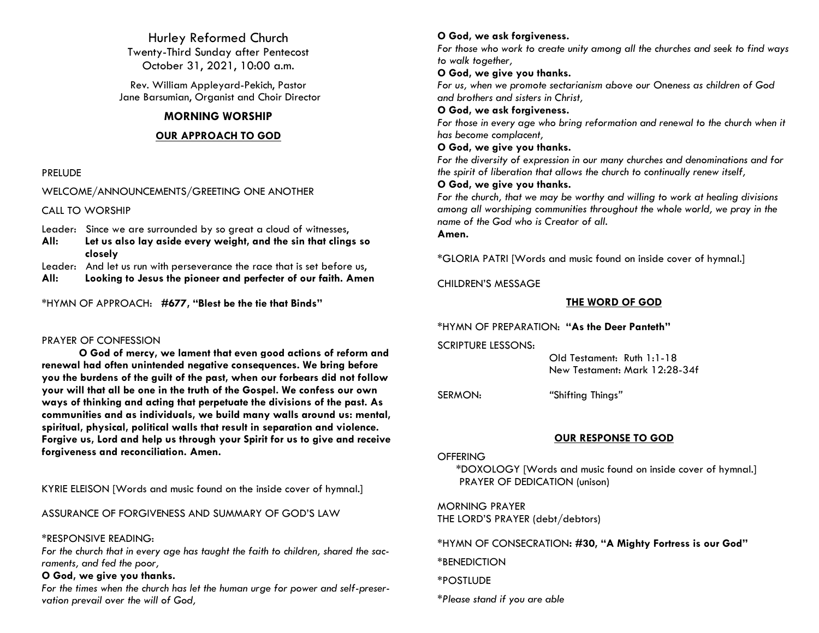Hurley Reformed Church Twenty-Third Sunday after Pentecost October 31, 2021, 10:00 a.m.

Rev. William Appleyard-Pekich, Pastor Jane Barsumian, Organist and Choir Director

### **MORNING WORSHIP**

#### **OUR APPROACH TO GOD**

#### PRELUDE

#### WELCOME/ANNOUNCEMENTS/GREETING ONE ANOTHER

CALL TO WORSHIP

Leader: Since we are surrounded by so great a cloud of witnesses,

**All: Let us also lay aside every weight, and the sin that clings so closely**

Leader: And let us run with perseverance the race that is set before us,

**All: Looking to Jesus the pioneer and perfecter of our faith. Amen**

\*HYMN OF APPROACH: **#677, "Blest be the tie that Binds"**

#### PRAYER OF CONFESSION

**O God of mercy, we lament that even good actions of reform and renewal had often unintended negative consequences. We bring before you the burdens of the guilt of the past, when our forbears did not follow your will that all be one in the truth of the Gospel. We confess our own ways of thinking and acting that perpetuate the divisions of the past. As communities and as individuals, we build many walls around us: mental, spiritual, physical, political walls that result in separation and violence. Forgive us, Lord and help us through your Spirit for us to give and receive forgiveness and reconciliation. Amen.**

KYRIE ELEISON [Words and music found on the inside cover of hymnal.]

ASSURANCE OF FORGIVENESS AND SUMMARY OF GOD'S LAW

#### \*RESPONSIVE READING:

*For the church that in every age has taught the faith to children, shared the sacraments, and fed the poor,*

#### **O God, we give you thanks.**

*For the times when the church has let the human urge for power and self-preservation prevail over the will of God,*

# **O God, we ask forgiveness.**

*For those who work to create unity among all the churches and seek to find ways to walk together,*

### **O God, we give you thanks.**

*For us, when we promote sectarianism above our* One*ness as children of God and brothers and sisters in Christ,*

### **O God, we ask forgiveness.**

For those in every age who bring reformation and renewal to the church when it *has become complacent,*

### **O God, we give you thanks.**

*For the diversity of expression in our many churches and denominations and for the spirit of liberation that allows the church to continually renew itself,*

# **O God, we give you thanks.**

*For the church, that we may be worthy and willing to work at healing divisions among all worshiping communities throughout the whole world, we pray in the name of the God who is Creator of all.*

**Amen.**

\*GLORIA PATRI [Words and music found on inside cover of hymnal.]

CHILDREN'S MESSAGE

# **THE WORD OF GOD**

\*HYMN OF PREPARATION: **"As the Deer Panteth"**

SCRIPTURE LESSONS:

 Old Testament: Ruth 1:1-18 New Testament: Mark 12:28-34f

SERMON: *"*Shifting Things*"*

# **OUR RESPONSE TO GOD**

#### **OFFERING**

\*DOXOLOGY [Words and music found on inside cover of hymnal.] PRAYER OF DEDICATION (unison)

MORNING PRAYER THE LORD'S PRAYER (debt/debtors)

\*HYMN OF CONSECRATION**: #30, "A Mighty Fortress is our God"**

\*BENEDICTION

\*POSTLUDE

*\*Please stand if you are able*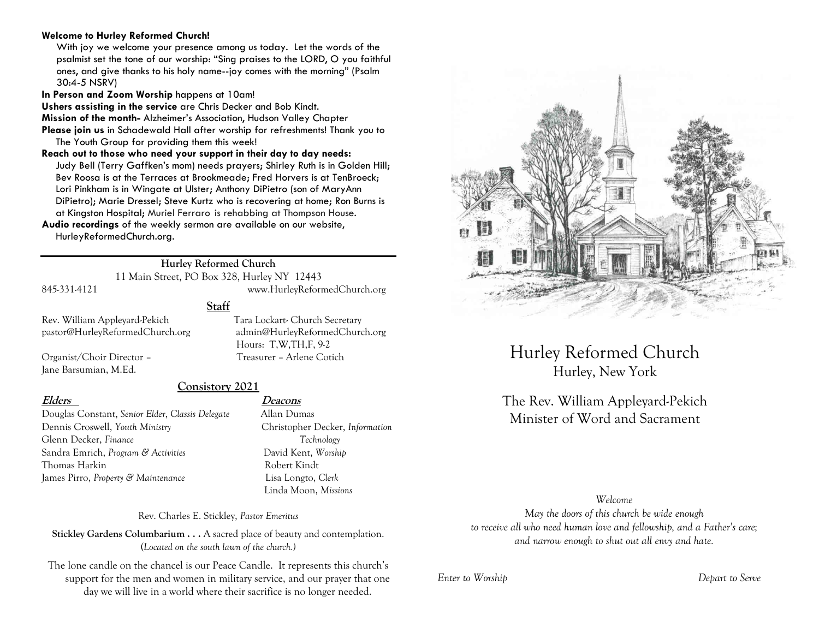#### **Welcome to Hurley Reformed Church!**

With joy we welcome your presence among us today. Let the words of the psalmist set the tone of our worship: "Sing praises to the LORD, O you faithful ones, and give thanks to his holy name--joy comes with the morning" (Psalm 30:4-5 NSRV)

**In Person and Zoom Worship** happens at 10am!

**Ushers assisting in the service** are Chris Decker and Bob Kindt.

**Mission of the month-** Alzheimer's Association, Hudson Valley Chapter

**Please join us** in Schadewald Hall after worship for refreshments! Thank you to The Youth Group for providing them this week!

**Reach out to those who need your support in their day to day needs:**  Judy Bell (Terry Gaffken's mom) needs prayers; Shirley Ruth is in Golden Hill; Bev Roosa is at the Terraces at Brookmeade; Fred Horvers is at TenBroeck; Lori Pinkham is in Wingate at Ulster; Anthony DiPietro (son of MaryAnn DiPietro); Marie Dressel; Steve Kurtz who is recovering at home; Ron Burns is at Kingston Hospital; Muriel Ferraro is rehabbing at Thompson House.

**Audio recordings** of the weekly sermon are available on our website, HurleyReformedChurch.org.

# **Hurley Reformed Church**

11 Main Street, PO Box 328, Hurley NY 12443

845-331-4121 www.HurleyReformedChurch.org

**Staff**

Rev. William Appleyard-Pekich Tara Lockart- Church Secretary pastor@HurleyReformedChurch.org admin@HurleyReformedChurch.org

Organist/Choir Director – Treasurer – Arlene Cotich Jane Barsumian, M.Ed.

**Consistory 2021**

Douglas Constant, *Senior Elder*, *Classis Delegate* Allan Dumas Dennis Croswell, *Youth Ministry* Christopher Decker, *Information* Glenn Decker, *Finance Technology* Sandra Emrich, *Program & Activities* David Kent, *Worship* Thomas Harkin **Robert Kindt** James Pirro, *Property & Maintenance* Lisa Longto, *Clerk*

#### **Elders Deacons**

Hours: T,W,TH,F, 9-2

Linda Moon, *Missions*

Rev. Charles E. Stickley, *Pastor Emeritus*

**Stickley Gardens Columbarium . . .** A sacred place of beauty and contemplation. (*Located on the south lawn of the church.)* 

The lone candle on the chancel is our Peace Candle. It represents this church's support for the men and women in military service, and our prayer that one day we will live in a world where their sacrifice is no longer needed.



Hurley Reformed Church Hurley, New York

# The Rev. William Appleyard-Pekich Minister of Word and Sacrament

*Welcome*

*May the doors of this church be wide enough to receive all who need human love and fellowship, and a Father's care; and narrow enough to shut out all envy and hate.*

*Enter to Worship Depart to Serve*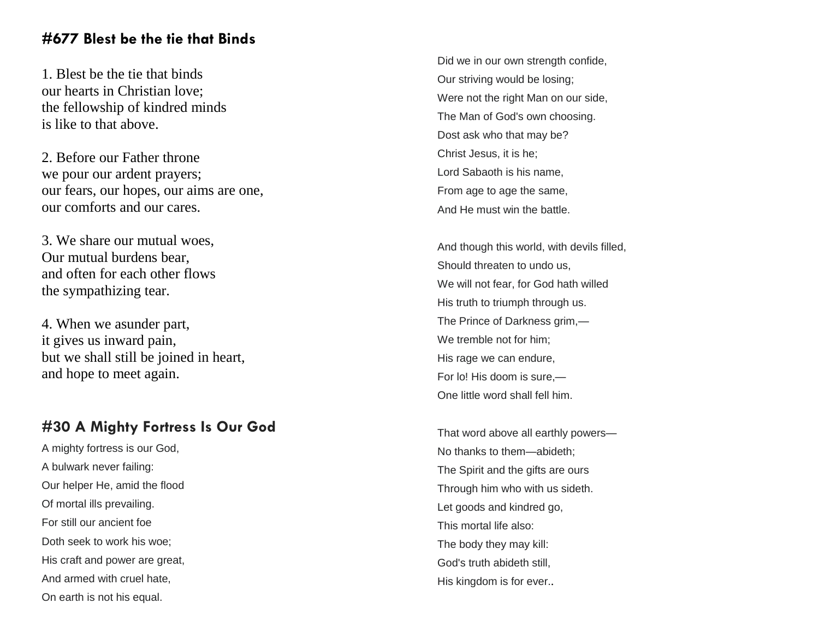# **#677 Blest be the tie that Binds**

1. Blest be the tie that binds our hearts in Christian love; the fellowship of kindred minds is like to that above.

2. Before our Father throne we pour our ardent prayers; our fears, our hopes, our aims are one, our comforts and our cares.

3. We share our mutual woes, Our mutual burdens bear, and often for each other flows the sympathizing tear.

4. When we asunder part, it gives us inward pain, but we shall still be joined in heart, and hope to meet again.

# **#30 A Mighty Fortress Is Our God**

A mighty fortress is our God, A bulwark never failing: Our helper He, amid the flood Of mortal ills prevailing. For still our ancient foe Doth seek to work his woe; His craft and power are great, And armed with cruel hate, On earth is not his equal.

Did we in our own strength confide, Our striving would be losing; Were not the right Man on our side, The Man of God's own choosing. Dost ask who that may be? Christ Jesus, it is he; Lord Sabaoth is his name, From age to age the same, And He must win the battle.

And though this world, with devils filled, Should threaten to undo us, We will not fear, for God hath willed His truth to triumph through us. The Prince of Darkness grim, — We tremble not for him; His rage we can endure, For lo! His doom is sure, — One little word shall fell him.

That word above all earthly powers — No thanks to them —abideth; The Spirit and the gifts are ours Through him who with us sideth. Let goods and kindred go, This mortal life also: The body they may kill: God's truth abideth still, His kingdom is for ever. .